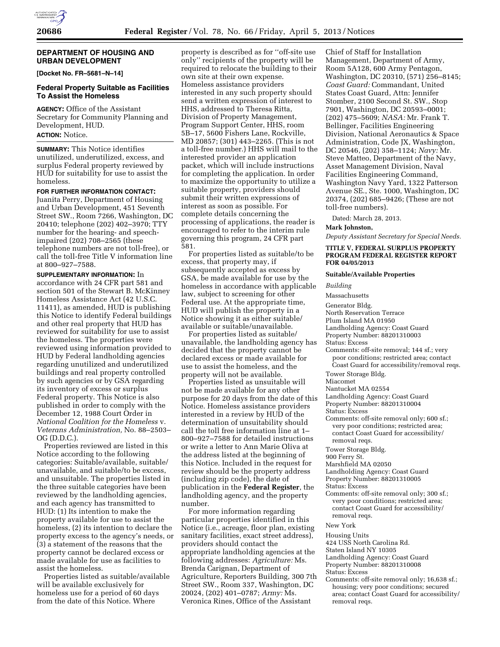## **DEPARTMENT OF HOUSING AND URBAN DEVELOPMENT**

**[Docket No. FR–5681–N–14]** 

## **Federal Property Suitable as Facilities To Assist the Homeless**

**AGENCY:** Office of the Assistant Secretary for Community Planning and Development, HUD.

## **ACTION:** Notice.

**SUMMARY:** This Notice identifies unutilized, underutilized, excess, and surplus Federal property reviewed by HUD for suitability for use to assist the homeless.

## **FOR FURTHER INFORMATION CONTACT:**

Juanita Perry, Department of Housing and Urban Development, 451 Seventh Street SW., Room 7266, Washington, DC 20410; telephone (202) 402–3970; TTY number for the hearing- and speechimpaired (202) 708–2565 (these telephone numbers are not toll-free), or call the toll-free Title V information line at 800–927–7588.

**SUPPLEMENTARY INFORMATION:** In accordance with 24 CFR part 581 and section 501 of the Stewart B. McKinney Homeless Assistance Act (42 U.S.C. 11411), as amended, HUD is publishing this Notice to identify Federal buildings and other real property that HUD has reviewed for suitability for use to assist the homeless. The properties were reviewed using information provided to HUD by Federal landholding agencies regarding unutilized and underutilized buildings and real property controlled by such agencies or by GSA regarding its inventory of excess or surplus Federal property. This Notice is also published in order to comply with the December 12, 1988 Court Order in *National Coalition for the Homeless* v. *Veterans Administration,* No. 88–2503– OG (D.D.C.).

Properties reviewed are listed in this Notice according to the following categories: Suitable/available, suitable/ unavailable, and suitable/to be excess, and unsuitable. The properties listed in the three suitable categories have been reviewed by the landholding agencies, and each agency has transmitted to HUD: (1) Its intention to make the property available for use to assist the homeless, (2) its intention to declare the property excess to the agency's needs, or (3) a statement of the reasons that the property cannot be declared excess or made available for use as facilities to assist the homeless.

Properties listed as suitable/available will be available exclusively for homeless use for a period of 60 days from the date of this Notice. Where

property is described as for ''off-site use only'' recipients of the property will be required to relocate the building to their own site at their own expense. Homeless assistance providers interested in any such property should send a written expression of interest to HHS, addressed to Theresa Ritta, Division of Property Management, Program Support Center, HHS, room 5B–17, 5600 Fishers Lane, Rockville, MD 20857; (301) 443–2265. (This is not a toll-free number.) HHS will mail to the interested provider an application packet, which will include instructions for completing the application. In order to maximize the opportunity to utilize a suitable property, providers should submit their written expressions of interest as soon as possible. For complete details concerning the processing of applications, the reader is encouraged to refer to the interim rule governing this program, 24 CFR part 581.

For properties listed as suitable/to be excess, that property may, if subsequently accepted as excess by GSA, be made available for use by the homeless in accordance with applicable law, subject to screening for other Federal use. At the appropriate time, HUD will publish the property in a Notice showing it as either suitable/ available or suitable/unavailable.

For properties listed as suitable/ unavailable, the landholding agency has decided that the property cannot be declared excess or made available for use to assist the homeless, and the property will not be available.

Properties listed as unsuitable will not be made available for any other purpose for 20 days from the date of this Notice. Homeless assistance providers interested in a review by HUD of the determination of unsuitability should call the toll free information line at 1– 800–927–7588 for detailed instructions or write a letter to Ann Marie Oliva at the address listed at the beginning of this Notice. Included in the request for review should be the property address (including zip code), the date of publication in the **Federal Register**, the landholding agency, and the property number.

For more information regarding particular properties identified in this Notice (i.e., acreage, floor plan, existing sanitary facilities, exact street address), providers should contact the appropriate landholding agencies at the following addresses: *Agriculture:* Ms. Brenda Carignan, Department of Agriculture, Reporters Building, 300 7th Street SW., Room 337, Washington, DC 20024, (202) 401–0787; *Army:* Ms. Veronica Rines, Office of the Assistant

Chief of Staff for Installation Management, Department of Army, Room 5A128, 600 Army Pentagon, Washington, DC 20310, (571) 256–8145; *Coast Guard:* Commandant, United States Coast Guard, Attn: Jennifer Stomber, 2100 Second St. SW., Stop 7901, Washington, DC 20593–0001; (202) 475–5609; *NASA:* Mr. Frank T. Bellinger, Facilities Engineering Division, National Aeronautics & Space Administration, Code JX, Washington, DC 20546, (202) 358–1124; *Navy:* Mr. Steve Matteo, Department of the Navy, Asset Management Division, Naval Facilities Engineering Command, Washington Navy Yard, 1322 Patterson Avenue SE., Ste. 1000, Washington, DC 20374, (202) 685–9426; (These are not toll-free numbers).

Dated: March 28, 2013.

### **Mark Johnston,**

*Deputy Assistant Secretary for Special Needs.* 

**TITLE V, FEDERAL SURPLUS PROPERTY PROGRAM FEDERAL REGISTER REPORT FOR 04/05/2013** 

#### **Suitable/Available Properties**

*Building* 

Massachusetts

- Generator Bldg.
- North Reservation Terrace

Plum Island MA 01950

Landholding Agency: Coast Guard

Property Number: 88201310003

Status: Excess

- Comments: off-site removal; 144 sf.; very poor conditions; restricted area; contact Coast Guard for accessibility/removal reqs.
- Tower Storage Bldg.

Miacomet

Nantucket MA 02554

Landholding Agency: Coast Guard

- Property Number: 88201310004
- Status: Excess
- Comments: off-site removal only; 600 sf.; very poor conditions; restricted area; contact Coast Guard for accessibility/ removal reqs.
- Tower Storage Bldg.
- 900 Ferry St.

Marshfield MA 02050

Landholding Agency: Coast Guard

Property Number: 88201310005

- Status: Excess
- Comments: off-site removal only; 300 sf.; very poor conditions; restricted area; contact Coast Guard for accessibility/ removal reqs.

#### New York

Housing Units

424 USS North Carolina Rd.

Staten Island NY 10305

Landholding Agency: Coast Guard

- Property Number: 88201310008
- Status: Excess
- Comments: off-site removal only; 16,638 sf.; housing; very poor conditions; secured area; contact Coast Guard for accessibility/ removal reqs.